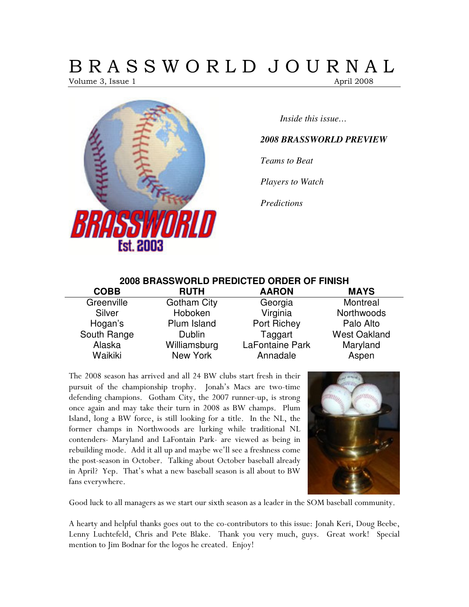# B R A S S W O R L D J O U R N A L

Volume 3, Issue 1 April 2008



*Inside this issue…* 

# *2008 BRASSWORLD PREVIEW*

*Teams to Beat* 

*Players to Watch* 

*Predictions* 

# **2008 BRASSWORLD PREDICTED ORDER OF FINISH**

| <b>COBB</b> | <b>RUTH</b>        | <b>AARON</b>    | <b>MAYS</b>         |
|-------------|--------------------|-----------------|---------------------|
| Greenville  | <b>Gotham City</b> | Georgia         | Montreal            |
| Silver      | Hoboken            | Virginia        | Northwoods          |
| Hogan's     | Plum Island        | Port Richey     | Palo Alto           |
| South Range | <b>Dublin</b>      | Taggart         | <b>West Oakland</b> |
| Alaska      | Williamsburg       | LaFontaine Park | Maryland            |
| Waikiki     | New York           | Annadale        | Aspen               |

The 2008 season has arrived and all 24 BW clubs start fresh in their pursuit of the championship trophy. Jonah's Macs are two-time defending champions. Gotham City, the 2007 runner-up, is strong once again and may take their turn in 2008 as BW champs. Plum Island, long a BW force, is still looking for a title. In the NL, the former champs in Northwoods are lurking while traditional NL contenders- Maryland and LaFontain Park- are viewed as being in rebuilding mode. Add it all up and maybe we'll see a freshness come the post-season in October. Talking about October baseball already in April? Yep. That's what a new baseball season is all about to BW fans everywhere.



Good luck to all managers as we start our sixth season as a leader in the SOM baseball community.

A hearty and helpful thanks goes out to the co-contributors to this issue: Jonah Keri, Doug Beebe, Lenny Luchtefeld, Chris and Pete Blake. Thank you very much, guys. Great work! Special mention to Jim Bodnar for the logos he created. Enjoy!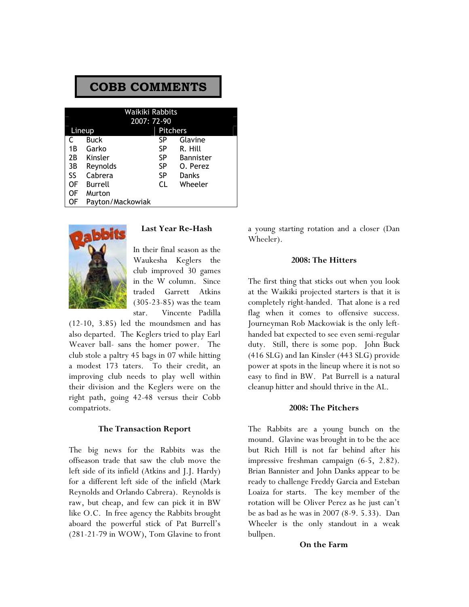| <b>COBB COMMENTS</b> |                  |                                |                  |  |  |
|----------------------|------------------|--------------------------------|------------------|--|--|
|                      |                  | Waikiki Rabbits<br>2007: 72-90 |                  |  |  |
|                      | Lineup           | <b>Pitchers</b>                |                  |  |  |
| C                    | Buck             | SP                             | Glavine          |  |  |
| 1 B                  | Garko            | SP.                            | R. Hill          |  |  |
| 2B                   | Kinsler          | SP.                            | <b>Bannister</b> |  |  |
| 3B                   | Reynolds         | SP.                            | O. Perez         |  |  |
| SS                   | Cabrera          | SP                             | Danks            |  |  |
| OF                   | Burrell          | <b>CL</b>                      | Wheeler          |  |  |
| OF                   | Murton           |                                |                  |  |  |
| OF                   | Payton/Mackowiak |                                |                  |  |  |



#### Last Year Re-Hash

In their final season as the Waukesha Keglers the club improved 30 games in the W column. Since traded Garrett Atkins (305-23-85) was the team star. Vincente Padilla

(12-10, 3.85) led the moundsmen and has also departed. The Keglers tried to play Earl Weaver ball- sans the homer power. The club stole a paltry 45 bags in 07 while hitting a modest 173 taters. To their credit, an improving club needs to play well within their division and the Keglers were on the right path, going 42-48 versus their Cobb compatriots.

#### The Transaction Report

The big news for the Rabbits was the offseason trade that saw the club move the left side of its infield (Atkins and J.J. Hardy) for a different left side of the infield (Mark Reynolds and Orlando Cabrera). Reynolds is raw, but cheap, and few can pick it in BW like O.C. In free agency the Rabbits brought aboard the powerful stick of Pat Burrell's (281-21-79 in WOW), Tom Glavine to front a young starting rotation and a closer (Dan Wheeler).

#### 2008: The Hitters

The first thing that sticks out when you look at the Waikiki projected starters is that it is completely right-handed. That alone is a red flag when it comes to offensive success. Journeyman Rob Mackowiak is the only lefthanded bat expected to see even semi-regular duty. Still, there is some pop. John Buck (416 SLG) and Ian Kinsler (443 SLG) provide power at spots in the lineup where it is not so easy to find in BW. Pat Burrell is a natural cleanup hitter and should thrive in the AL.

#### 2008: The Pitchers

The Rabbits are a young bunch on the mound. Glavine was brought in to be the ace but Rich Hill is not far behind after his impressive freshman campaign (6-5, 2.82). Brian Bannister and John Danks appear to be ready to challenge Freddy Garcia and Esteban Loaiza for starts. The key member of the rotation will be Oliver Perez as he just can't be as bad as he was in 2007 (8-9. 5.33). Dan Wheeler is the only standout in a weak bullpen.

#### On the Farm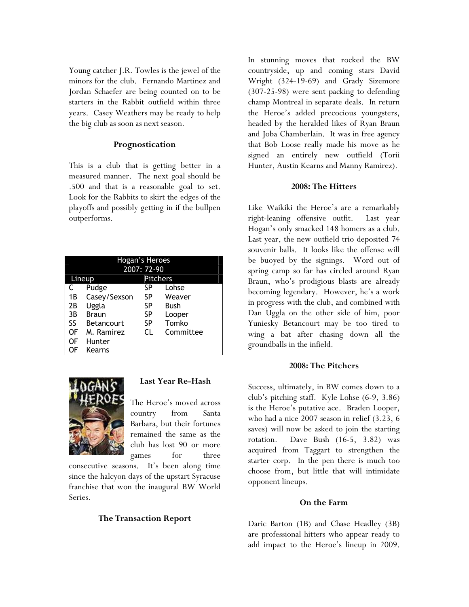Young catcher J.R. Towles is the jewel of the minors for the club. Fernando Martinez and Jordan Schaefer are being counted on to be starters in the Rabbit outfield within three years. Casey Weathers may be ready to help the big club as soon as next season.

# Prognostication

This is a club that is getting better in a measured manner. The next goal should be .500 and that is a reasonable goal to set. Look for the Rabbits to skirt the edges of the playoffs and possibly getting in if the bullpen outperforms.

| Hogan's Heroes<br>2007: 72-90 |                   |    |           |  |  |
|-------------------------------|-------------------|----|-----------|--|--|
| <b>Pitchers</b><br>Lineup     |                   |    |           |  |  |
|                               | Pudge             | SP | Lohse     |  |  |
| 1B                            | Casey/Sexson      | SP | Weaver    |  |  |
| 2Β                            | Uggla             | SP | Bush      |  |  |
| 3B                            | <b>Braun</b>      | SP | Looper    |  |  |
| SS                            | <b>Betancourt</b> | SP | Tomko     |  |  |
| OF                            | M. Ramirez        | CΙ | Committee |  |  |
| OF                            | Hunter            |    |           |  |  |
| 0F                            | Kearns            |    |           |  |  |



# Last Year Re-Hash

The Heroe's moved across country from Santa Barbara, but their fortunes remained the same as the club has lost 90 or more games for three

consecutive seasons. It's been along time since the halcyon days of the upstart Syracuse franchise that won the inaugural BW World Series.

# The Transaction Report

In stunning moves that rocked the BW countryside, up and coming stars David Wright (324-19-69) and Grady Sizemore (307-25-98) were sent packing to defending champ Montreal in separate deals. In return the Heroe's added precocious youngsters, headed by the heralded likes of Ryan Braun and Joba Chamberlain. It was in free agency that Bob Loose really made his move as he signed an entirely new outfield (Torii Hunter, Austin Kearns and Manny Ramirez).

# 2008: The Hitters

Like Waikiki the Heroe's are a remarkably right-leaning offensive outfit. Last year Hogan's only smacked 148 homers as a club. Last year, the new outfield trio deposited 74 souvenir balls. It looks like the offense will be buoyed by the signings. Word out of spring camp so far has circled around Ryan Braun, who's prodigious blasts are already becoming legendary. However, he's a work in progress with the club, and combined with Dan Uggla on the other side of him, poor Yuniesky Betancourt may be too tired to wing a bat after chasing down all the groundballs in the infield.

# 2008: The Pitchers

Success, ultimately, in BW comes down to a club's pitching staff. Kyle Lohse (6-9, 3.86) is the Heroe's putative ace. Braden Looper, who had a nice 2007 season in relief (3.23, 6 saves) will now be asked to join the starting rotation. Dave Bush (16-5, 3.82) was acquired from Taggart to strengthen the starter corp. In the pen there is much too choose from, but little that will intimidate opponent lineups.

# On the Farm

Daric Barton (1B) and Chase Headley (3B) are professional hitters who appear ready to add impact to the Heroe's lineup in 2009.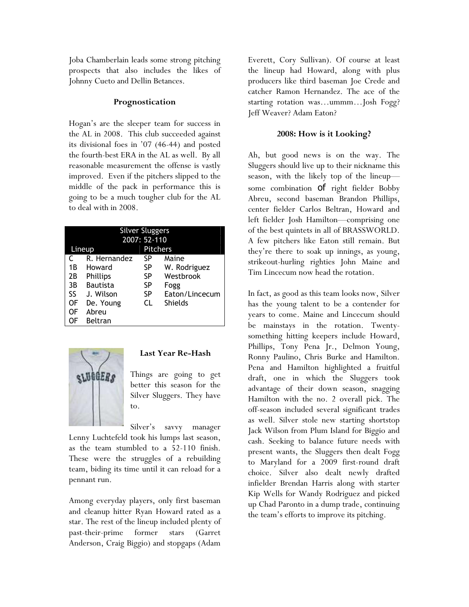Joba Chamberlain leads some strong pitching prospects that also includes the likes of Johnny Cueto and Dellin Betances.

# Prognostication

Hogan's are the sleeper team for success in the AL in 2008. This club succeeded against its divisional foes in '07 (46-44) and posted the fourth-best ERA in the AL as well. By all reasonable measurement the offense is vastly improved. Even if the pitchers slipped to the middle of the pack in performance this is going to be a much tougher club for the AL to deal with in 2008.

|    | <b>Silver Sluggers</b> |                |                |  |  |
|----|------------------------|----------------|----------------|--|--|
|    |                        | 2007: 52-110   |                |  |  |
|    | Lineup                 | Pitchers       |                |  |  |
| C  | R. Hernandez           | SP             | Maine          |  |  |
| 1Β | Howard                 | SP             | W. Rodriguez   |  |  |
| 2B | Phillips               | SP             |                |  |  |
| 3B | SP<br><b>Bautista</b>  |                | Fogg           |  |  |
| SS | J. Wilson              | Eaton/Lincecum |                |  |  |
| OF | De. Young              | <b>CL</b>      | <b>Shields</b> |  |  |
| OF | Abreu                  |                |                |  |  |
| OF | Beltran                |                |                |  |  |



# Last Year Re-Hash

Things are going to get better this season for the Silver Sluggers. They have to.

Silver's savvy manager

Lenny Luchtefeld took his lumps last season, as the team stumbled to a 52-110 finish. These were the struggles of a rebuilding team, biding its time until it can reload for a pennant run.

Among everyday players, only first baseman and cleanup hitter Ryan Howard rated as a star. The rest of the lineup included plenty of past-their-prime former stars (Garret Anderson, Craig Biggio) and stopgaps (Adam

Everett, Cory Sullivan). Of course at least the lineup had Howard, along with plus producers like third baseman Joe Crede and catcher Ramon Hernandez. The ace of the starting rotation was…ummm…Josh Fogg? Jeff Weaver? Adam Eaton?

# 2008: How is it Looking?

Ah, but good news is on the way. The Sluggers should live up to their nickname this season, with the likely top of the lineup some combination of right fielder Bobby Abreu, second baseman Brandon Phillips, center fielder Carlos Beltran, Howard and left fielder Josh Hamilton—comprising one of the best quintets in all of BRASSWORLD. A few pitchers like Eaton still remain. But they're there to soak up innings, as young, strikeout-hurling righties John Maine and Tim Lincecum now head the rotation.

In fact, as good as this team looks now, Silver has the young talent to be a contender for years to come. Maine and Lincecum should be mainstays in the rotation. Twentysomething hitting keepers include Howard, Phillips, Tony Pena Jr., Delmon Young, Ronny Paulino, Chris Burke and Hamilton. Pena and Hamilton highlighted a fruitful draft, one in which the Sluggers took advantage of their down season, snagging Hamilton with the no. 2 overall pick. The off-season included several significant trades as well. Silver stole new starting shortstop Jack Wilson from Plum Island for Biggio and cash. Seeking to balance future needs with present wants, the Sluggers then dealt Fogg to Maryland for a 2009 first-round draft choice. Silver also dealt newly drafted infielder Brendan Harris along with starter Kip Wells for Wandy Rodriguez and picked up Chad Paronto in a dump trade, continuing the team's efforts to improve its pitching.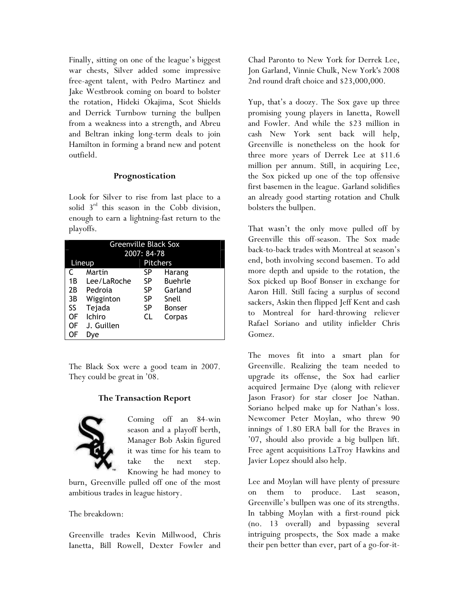Finally, sitting on one of the league's biggest war chests, Silver added some impressive free-agent talent, with Pedro Martinez and Jake Westbrook coming on board to bolster the rotation, Hideki Okajima, Scot Shields and Derrick Turnbow turning the bullpen from a weakness into a strength, and Abreu and Beltran inking long-term deals to join Hamilton in forming a brand new and potent outfield.

# Prognostication

Look for Silver to rise from last place to a solid  $3<sup>rd</sup>$  this season in the Cobb division, enough to earn a lightning-fast return to the playoffs.

|    | <b>Greenville Black Sox</b> |               |                 |  |  |
|----|-----------------------------|---------------|-----------------|--|--|
|    |                             | 2007: 84-78   |                 |  |  |
|    | Lineup                      |               | <b>Pitchers</b> |  |  |
| C  | Martin                      | SP            | Harang          |  |  |
| 1B | Lee/LaRoche                 | SP            | <b>Buehrle</b>  |  |  |
| 2Β | Pedroia                     | Garland<br>SP |                 |  |  |
| 3B | Wigginton                   | SP            | Snell           |  |  |
| SS | Tejada                      | SP            | <b>Bonser</b>   |  |  |
| 0F | Ichiro<br>CL<br>Corpas      |               |                 |  |  |
| OF | J. Guillen                  |               |                 |  |  |
| OF | Dve                         |               |                 |  |  |

The Black Sox were a good team in 2007. They could be great in '08.

# The Transaction Report



Coming off an 84-win season and a playoff berth, Manager Bob Askin figured it was time for his team to take the next step. Knowing he had money to

burn, Greenville pulled off one of the most ambitious trades in league history.

The breakdown:

Greenville trades Kevin Millwood, Chris Ianetta, Bill Rowell, Dexter Fowler and

Chad Paronto to New York for Derrek Lee, Jon Garland, Vinnie Chulk, New York's 2008 2nd round draft choice and \$23,000,000.

Yup, that's a doozy. The Sox gave up three promising young players in Ianetta, Rowell and Fowler. And while the \$23 million in cash New York sent back will help, Greenville is nonetheless on the hook for three more years of Derrek Lee at \$11.6 million per annum. Still, in acquiring Lee, the Sox picked up one of the top offensive first basemen in the league. Garland solidifies an already good starting rotation and Chulk bolsters the bullpen.

That wasn't the only move pulled off by Greenville this off-season. The Sox made back-to-back trades with Montreal at season's end, both involving second basemen. To add more depth and upside to the rotation, the Sox picked up Boof Bonser in exchange for Aaron Hill. Still facing a surplus of second sackers, Askin then flipped Jeff Kent and cash to Montreal for hard-throwing reliever Rafael Soriano and utility infielder Chris Gomez.

The moves fit into a smart plan for Greenville. Realizing the team needed to upgrade its offense, the Sox had earlier acquired Jermaine Dye (along with reliever Jason Frasor) for star closer Joe Nathan. Soriano helped make up for Nathan's loss. Newcomer Peter Moylan, who threw 90 innings of 1.80 ERA ball for the Braves in '07, should also provide a big bullpen lift. Free agent acquisitions LaTroy Hawkins and Javier Lopez should also help.

Lee and Moylan will have plenty of pressure on them to produce. Last season, Greenville's bullpen was one of its strengths. In tabbing Moylan with a first-round pick (no. 13 overall) and bypassing several intriguing prospects, the Sox made a make their pen better than ever, part of a go-for-it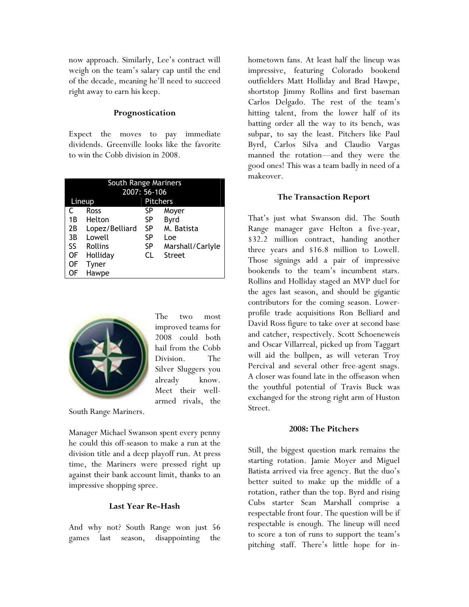now approach. Similarly, Lee's contract will weigh on the team's salary cap until the end of the decade, meaning he'll need to succeed right away to earn his keep.

#### Prognostication

Expect the moves to pay immediate dividends. Greenville looks like the favorite to win the Cobb division in 2008.

| South Range Mariners |                |           |                  |  |
|----------------------|----------------|-----------|------------------|--|
|                      | 2007: 56-106   |           |                  |  |
|                      | Lineup         |           | <b>Pitchers</b>  |  |
|                      | Ross           | SP        | Moyer            |  |
| 1B                   | Helton         | SP        | Byrd             |  |
| 2B                   | Lopez/Belliard | <b>SP</b> | M. Batista       |  |
| 3B                   | Lowell         | SP        | Loe              |  |
| SS                   | <b>Rollins</b> | SP        | Marshall/Carlyle |  |
| 0F                   | Holliday       | CL        | <b>Street</b>    |  |
| ΟF                   | Tyner          |           |                  |  |
| OF                   | Hawpe          |           |                  |  |



The two most improved teams for 2008 could both hail from the Cobb Division. The Silver Sluggers you already know. Meet their wellarmed rivals, the

South Range Mariners.

Manager Michael Swanson spent every penny he could this off-season to make a run at the division title and a deep playoff run. At press time, the Mariners were pressed right up against their bank account limit, thanks to an impressive shopping spree.

# Last Year Re-Hash

And why not? South Range won just 56 games last season, disappointing the hometown fans. At least half the lineup was impressive, featuring Colorado bookend outfielders Matt Holliday and Brad Hawpe, shortstop Jimmy Rollins and first baseman Carlos Delgado. The rest of the team's hitting talent, from the lower half of its batting order all the way to its bench, was subpar, to say the least. Pitchers like Paul Byrd, Carlos Silva and Claudio Vargas manned the rotation—and they were the good ones! This was a team badly in need of a makeover.

#### The Transaction Report

That's just what Swanson did. The South Range manager gave Helton a five-year, \$32.2 million contract, handing another three years and \$16.8 million to Lowell. Those signings add a pair of impressive bookends to the team's incumbent stars. Rollins and Holliday staged an MVP duel for the ages last season, and should be gigantic contributors for the coming season. Lowerprofile trade acquisitions Ron Belliard and David Ross figure to take over at second base and catcher, respectively. Scott Schoeneweis and Oscar Villarreal, picked up from Taggart will aid the bullpen, as will veteran Troy Percival and several other free-agent snags. A closer was found late in the offseason when the youthful potential of Travis Buck was exchanged for the strong right arm of Huston Street.

#### 2008: The Pitchers

Still, the biggest question mark remains the starting rotation. Jamie Moyer and Miguel Batista arrived via free agency. But the duo's better suited to make up the middle of a rotation, rather than the top. Byrd and rising Cubs starter Sean Marshall comprise a respectable front four. The question will be if respectable is enough. The lineup will need to score a ton of runs to support the team's pitching staff. There's little hope for in-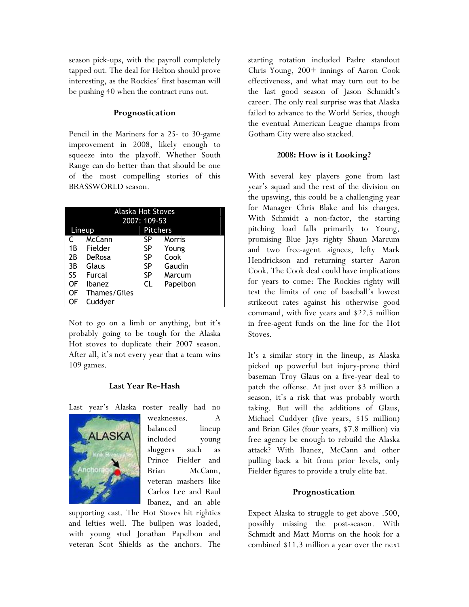season pick-ups, with the payroll completely tapped out. The deal for Helton should prove interesting, as the Rockies' first baseman will be pushing 40 when the contract runs out.

# Prognostication

Pencil in the Mariners for a 25- to 30-game improvement in 2008, likely enough to squeeze into the playoff. Whether South Range can do better than that should be one of the most compelling stories of this BRASSWORLD season.

|    | <b>Alaska Hot Stoves</b> |                 |          |  |  |
|----|--------------------------|-----------------|----------|--|--|
|    |                          | 2007: 109-53    |          |  |  |
|    | Lineup                   | <b>Pitchers</b> |          |  |  |
|    | McCann                   | SP              | Morris   |  |  |
| 1B | Fielder                  | SP              | Young    |  |  |
| 2Β | DeRosa                   | SP              | Cook     |  |  |
| 3B | Glaus                    | SP              | Gaudin   |  |  |
| SS | Furcal                   | SP              | Marcum   |  |  |
| 0F | <b>Ibanez</b>            | CL              | Papelbon |  |  |
| OF | Thames/Giles             |                 |          |  |  |
| ЭF | Cuddyer                  |                 |          |  |  |

Not to go on a limb or anything, but it's probably going to be tough for the Alaska Hot stoves to duplicate their 2007 season. After all, it's not every year that a team wins 109 games.

# Last Year Re-Hash

Last year's Alaska roster really had no



weaknesses. A balanced lineup included young sluggers such as Prince Fielder and Brian McCann, veteran mashers like Carlos Lee and Raul Ibanez, and an able

supporting cast. The Hot Stoves hit righties and lefties well. The bullpen was loaded, with young stud Jonathan Papelbon and veteran Scot Shields as the anchors. The

starting rotation included Padre standout Chris Young, 200+ innings of Aaron Cook effectiveness, and what may turn out to be the last good season of Jason Schmidt's career. The only real surprise was that Alaska failed to advance to the World Series, though the eventual American League champs from Gotham City were also stacked.

# 2008: How is it Looking?

With several key players gone from last year's squad and the rest of the division on the upswing, this could be a challenging year for Manager Chris Blake and his charges. With Schmidt a non-factor, the starting pitching load falls primarily to Young, promising Blue Jays righty Shaun Marcum and two free-agent signees, lefty Mark Hendrickson and returning starter Aaron Cook. The Cook deal could have implications for years to come: The Rockies righty will test the limits of one of baseball's lowest strikeout rates against his otherwise good command, with five years and \$22.5 million in free-agent funds on the line for the Hot Stoves.

It's a similar story in the lineup, as Alaska picked up powerful but injury-prone third baseman Troy Glaus on a five-year deal to patch the offense. At just over \$3 million a season, it's a risk that was probably worth taking. But will the additions of Glaus, Michael Cuddyer (five years, \$15 million) and Brian Giles (four years, \$7.8 million) via free agency be enough to rebuild the Alaska attack? With Ibanez, McCann and other pulling back a bit from prior levels, only Fielder figures to provide a truly elite bat.

# Prognostication

Expect Alaska to struggle to get above .500, possibly missing the post-season. With Schmidt and Matt Morris on the hook for a combined \$11.3 million a year over the next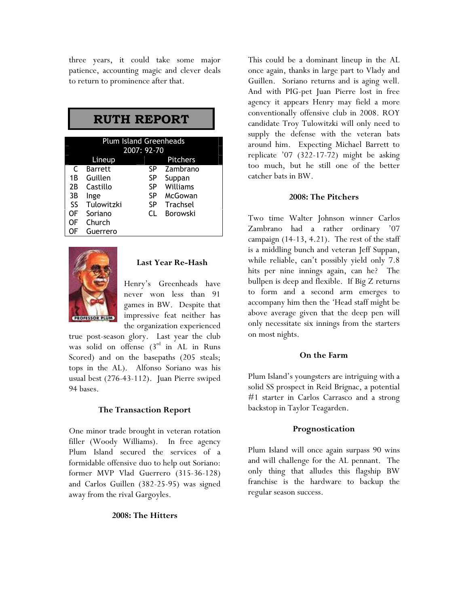three years, it could take some major patience, accounting magic and clever deals to return to prominence after that.

# RUTH REPORT

|    | <b>Plum Island Greenheads</b><br>2007: 92-70 |    |                 |  |  |
|----|----------------------------------------------|----|-----------------|--|--|
|    | Lineup                                       |    | <b>Pitchers</b> |  |  |
| C  | <b>Barrett</b>                               | SP | Zambrano        |  |  |
| 1Β | Guillen                                      | SP | Suppan          |  |  |
| 2B | Castillo                                     | SP | Williams        |  |  |
| 3B | Inge                                         | SP | McGowan         |  |  |
| SS | Tulowitzki                                   | SP | Trachsel        |  |  |
| OF | Soriano                                      | CΙ | Borowski        |  |  |
| OF | Church                                       |    |                 |  |  |
| ΩF | Guerrero                                     |    |                 |  |  |



#### Last Year Re-Hash

Henry's Greenheads have never won less than 91 games in BW. Despite that impressive feat neither has the organization experienced

true post-season glory. Last year the club was solid on offense  $(3<sup>rd</sup>$  in AL in Runs Scored) and on the basepaths (205 steals; tops in the AL). Alfonso Soriano was his usual best (276-43-112). Juan Pierre swiped 94 bases.

# The Transaction Report

One minor trade brought in veteran rotation filler (Woody Williams). In free agency Plum Island secured the services of a formidable offensive duo to help out Soriano: former MVP Vlad Guerrero (315-36-128) and Carlos Guillen (382-25-95) was signed away from the rival Gargoyles.

#### 2008: The Hitters

This could be a dominant lineup in the AL once again, thanks in large part to Vlady and Guillen. Soriano returns and is aging well. And with PIG-pet Juan Pierre lost in free agency it appears Henry may field a more conventionally offensive club in 2008. ROY candidate Troy Tulowitzki will only need to supply the defense with the veteran bats around him. Expecting Michael Barrett to replicate '07 (322-17-72) might be asking too much, but he still one of the better catcher bats in BW.

#### 2008: The Pitchers

Two time Walter Johnson winner Carlos Zambrano had a rather ordinary '07 campaign (14-13, 4.21). The rest of the staff is a middling bunch and veteran Jeff Suppan, while reliable, can't possibly yield only 7.8 hits per nine innings again, can he? The bullpen is deep and flexible. If Big Z returns to form and a second arm emerges to accompany him then the 'Head staff might be above average given that the deep pen will only necessitate six innings from the starters on most nights.

#### On the Farm

Plum Island's youngsters are intriguing with a solid SS prospect in Reid Brignac, a potential #1 starter in Carlos Carrasco and a strong backstop in Taylor Teagarden.

#### Prognostication

Plum Island will once again surpass 90 wins and will challenge for the AL pennant. The only thing that alludes this flagship BW franchise is the hardware to backup the regular season success.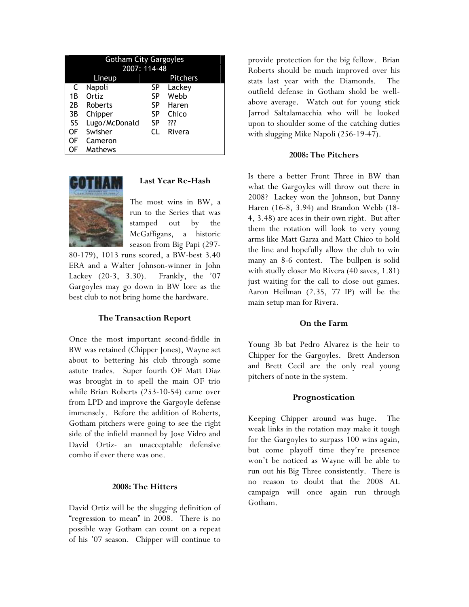|           | <b>Gotham City Gargoyles</b> |           |        |  |  |  |
|-----------|------------------------------|-----------|--------|--|--|--|
|           | 2007: 114-48                 |           |        |  |  |  |
|           | <b>Pitchers</b><br>Lineup    |           |        |  |  |  |
| C         | Napoli                       | SP        | Lackey |  |  |  |
| 1Β        | Ortiz                        | SP        | Webb   |  |  |  |
| 2B        | Roberts                      | SP        | Haren  |  |  |  |
| 3B        | Chipper                      | SP        | Chico  |  |  |  |
| <b>SS</b> | Lugo/McDonald                | <b>SP</b> | ???    |  |  |  |
| 0F        | Swisher                      | CΙ        | Rivera |  |  |  |
| OF        | Cameron                      |           |        |  |  |  |
|           | Mathews                      |           |        |  |  |  |



# Last Year Re-Hash

The most wins in BW, a run to the Series that was stamped out by the McGaffigans, a historic season from Big Papi (297-

80-179), 1013 runs scored, a BW-best 3.40 ERA and a Walter Johnson-winner in John Lackey (20-3, 3.30). Frankly, the '07 Gargoyles may go down in BW lore as the best club to not bring home the hardware.

#### The Transaction Report

Once the most important second-fiddle in BW was retained (Chipper Jones), Wayne set about to bettering his club through some astute trades. Super fourth OF Matt Diaz was brought in to spell the main OF trio while Brian Roberts (253-10-54) came over from LPD and improve the Gargoyle defense immensely. Before the addition of Roberts, Gotham pitchers were going to see the right side of the infield manned by Jose Vidro and David Ortiz- an unacceptable defensive combo if ever there was one.

#### 2008: The Hitters

David Ortiz will be the slugging definition of "regression to mean" in 2008. There is no possible way Gotham can count on a repeat of his '07 season. Chipper will continue to

provide protection for the big fellow. Brian Roberts should be much improved over his stats last year with the Diamonds. The outfield defense in Gotham shold be wellabove average. Watch out for young stick Jarrod Saltalamacchia who will be looked upon to shoulder some of the catching duties with slugging Mike Napoli (256-19-47).

#### 2008: The Pitchers

Is there a better Front Three in BW than what the Gargoyles will throw out there in 2008? Lackey won the Johnson, but Danny Haren (16-8, 3.94) and Brandon Webb (18- 4, 3.48) are aces in their own right. But after them the rotation will look to very young arms like Matt Garza and Matt Chico to hold the line and hopefully allow the club to win many an 8-6 contest. The bullpen is solid with studly closer Mo Rivera (40 saves, 1.81) just waiting for the call to close out games. Aaron Heilman (2.35, 77 IP) will be the main setup man for Rivera.

#### On the Farm

Young 3b bat Pedro Alvarez is the heir to Chipper for the Gargoyles. Brett Anderson and Brett Cecil are the only real young pitchers of note in the system.

#### Prognostication

Keeping Chipper around was huge. The weak links in the rotation may make it tough for the Gargoyles to surpass 100 wins again, but come playoff time they're presence won't be noticed as Wayne will be able to run out his Big Three consistently. There is no reason to doubt that the 2008 AL campaign will once again run through Gotham.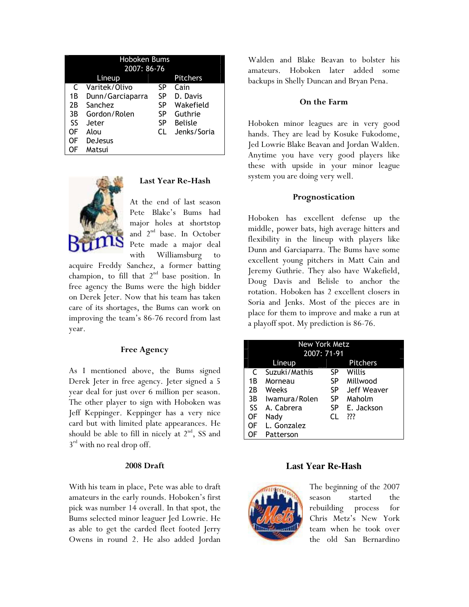| <b>Hoboken Bums</b> |                  |    |                 |  |  |  |
|---------------------|------------------|----|-----------------|--|--|--|
|                     | 2007: 86-76      |    |                 |  |  |  |
|                     | Lineup           |    | <b>Pitchers</b> |  |  |  |
| C                   | Varitek/Olivo    | SP | Cain            |  |  |  |
| 1В                  | Dunn/Garciaparra | SP | D. Davis        |  |  |  |
| 2Β                  | Sanchez          | SP | Wakefield       |  |  |  |
| 3B                  | Gordon/Rolen     | SP | Guthrie         |  |  |  |
| <b>SS</b>           | Jeter            | SP | <b>Belisle</b>  |  |  |  |
| OF                  | Alou             | CΙ | Jenks/Soria     |  |  |  |
| OF                  | <b>DeJesus</b>   |    |                 |  |  |  |
|                     | Matsui           |    |                 |  |  |  |



# Last Year Re-Hash

At the end of last season Pete Blake's Bums had major holes at shortstop and 2<sup>nd</sup> base. In October Pete made a major deal with Williamsburg to

acquire Freddy Sanchez, a former batting champion, to fill that  $2<sup>nd</sup>$  base position. In free agency the Bums were the high bidder on Derek Jeter. Now that his team has taken care of its shortages, the Bums can work on improving the team's 86-76 record from last year.

## Free Agency

As I mentioned above, the Bums signed Derek Jeter in free agency. Jeter signed a 5 year deal for just over 6 million per season. The other player to sign with Hoboken was Jeff Keppinger. Keppinger has a very nice card but with limited plate appearances. He should be able to fill in nicely at  $2^{nd}$ , SS and  $3<sup>rd</sup>$  with no real drop off.

## 2008 Draft

With his team in place, Pete was able to draft amateurs in the early rounds. Hoboken's first pick was number 14 overall. In that spot, the Bums selected minor leaguer Jed Lowrie. He as able to get the carded fleet footed Jerry Owens in round 2. He also added Jordan Walden and Blake Beavan to bolster his amateurs. Hoboken later added some backups in Shelly Duncan and Bryan Pena.

#### On the Farm

Hoboken minor leagues are in very good hands. They are lead by Kosuke Fukodome, Jed Lowrie Blake Beavan and Jordan Walden. Anytime you have very good players like these with upside in your minor league system you are doing very well.

#### Prognostication

Hoboken has excellent defense up the middle, power bats, high average hitters and flexibility in the lineup with players like Dunn and Garciaparra. The Bums have some excellent young pitchers in Matt Cain and Jeremy Guthrie. They also have Wakefield, Doug Davis and Belisle to anchor the rotation. Hoboken has 2 excellent closers in Soria and Jenks. Most of the pieces are in place for them to improve and make a run at a playoff spot. My prediction is 86-76.

| <b>New York Metz</b> |               |     |                 |  |  |  |
|----------------------|---------------|-----|-----------------|--|--|--|
|                      | 2007: 71-91   |     |                 |  |  |  |
|                      | Lineup        |     | <b>Pitchers</b> |  |  |  |
| C                    | Suzuki/Mathis | SP  | Willis          |  |  |  |
| 1Β                   | Morneau       | SP  | Millwood        |  |  |  |
| 2Β                   | Weeks         | SP  | Jeff Weaver     |  |  |  |
| 3B                   | Iwamura/Rolen | SP  | Maholm          |  |  |  |
| <b>SS</b>            | A. Cabrera    | SP  | E. Jackson      |  |  |  |
| OF                   | Nady          | CL. | ???             |  |  |  |
| OF                   | L. Gonzalez   |     |                 |  |  |  |
|                      | Patterson     |     |                 |  |  |  |

#### **Last Year Re-Hash**



The beginning of the 2007 season started the rebuilding process for Chris Metz's New York team when he took over the old San Bernardino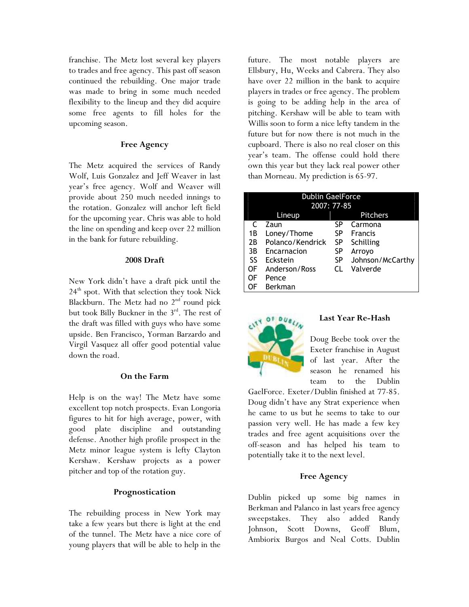franchise. The Metz lost several key players to trades and free agency. This past off season continued the rebuilding. One major trade was made to bring in some much needed flexibility to the lineup and they did acquire some free agents to fill holes for the upcoming season.

# Free Agency

The Metz acquired the services of Randy Wolf, Luis Gonzalez and Jeff Weaver in last year's free agency. Wolf and Weaver will provide about 250 much needed innings to the rotation. Gonzalez will anchor left field for the upcoming year. Chris was able to hold the line on spending and keep over 22 million in the bank for future rebuilding.

#### 2008 Draft

New York didn't have a draft pick until the  $24<sup>th</sup>$  spot. With that selection they took Nick Blackburn. The Metz had no  $2<sup>nd</sup>$  round pick but took Billy Buckner in the 3<sup>rd</sup>. The rest of the draft was filled with guys who have some upside. Ben Francisco, Yorman Barzardo and Virgil Vasquez all offer good potential value down the road.

# On the Farm

Help is on the way! The Metz have some excellent top notch prospects. Evan Longoria figures to hit for high average, power, with good plate discipline and outstanding defense. Another high profile prospect in the Metz minor league system is lefty Clayton Kershaw. Kershaw projects as a power pitcher and top of the rotation guy.

# Prognostication

The rebuilding process in New York may take a few years but there is light at the end of the tunnel. The Metz have a nice core of young players that will be able to help in the

future. The most notable players are Ellsbury, Hu, Weeks and Cabrera. They also have over 22 million in the bank to acquire players in trades or free agency. The problem is going to be adding help in the area of pitching. Kershaw will be able to team with Willis soon to form a nice lefty tandem in the future but for now there is not much in the cupboard. There is also no real closer on this year's team. The offense could hold there own this year but they lack real power other than Morneau. My prediction is 65-97.

| <b>Dublin GaelForce</b> |                   |     |                  |  |
|-------------------------|-------------------|-----|------------------|--|
|                         | 2007: 77-85       |     |                  |  |
|                         | Lineup            |     | <b>Pitchers</b>  |  |
|                         | Zaun              | SP  | Carmona          |  |
| 1В                      | Loney/Thome       | SP  | <b>Francis</b>   |  |
| 2B                      | Polanco/Kendrick  | SP  | Schilling        |  |
| 3B                      | Encarnacion<br>SP |     | Arroyo           |  |
| SS                      | Eckstein          | SP  | Johnson/McCarthy |  |
| OF                      | Anderson/Ross     | CL. | Valverde         |  |
| OF                      | Pence             |     |                  |  |
|                         | Berkman           |     |                  |  |



# Last Year Re-Hash

Doug Beebe took over the Exeter franchise in August of last year. After the season he renamed his team to the Dublin

GaelForce. Exeter/Dublin finished at 77-85. Doug didn't have any Strat experience when he came to us but he seems to take to our passion very well. He has made a few key trades and free agent acquisitions over the off-season and has helped his team to potentially take it to the next level.

# Free Agency

Dublin picked up some big names in Berkman and Palanco in last years free agency sweepstakes. They also added Randy Johnson, Scott Downs, Geoff Blum, Ambiorix Burgos and Neal Cotts. Dublin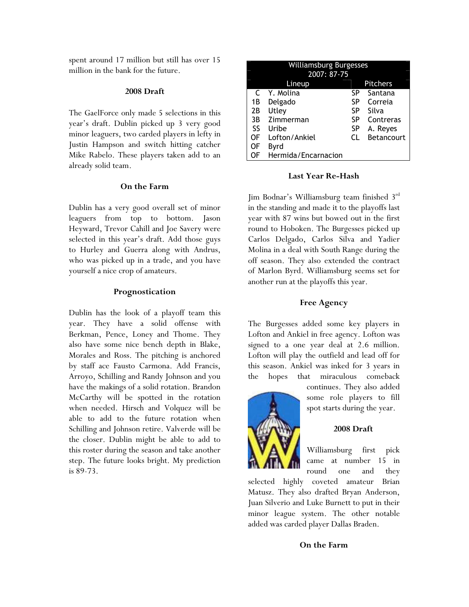spent around 17 million but still has over 15 million in the bank for the future.

#### 2008 Draft

The GaelForce only made 5 selections in this year's draft. Dublin picked up 3 very good minor leaguers, two carded players in lefty in Justin Hampson and switch hitting catcher Mike Rabelo. These players taken add to an already solid team.

#### On the Farm

Dublin has a very good overall set of minor leaguers from top to bottom. Jason Heyward, Trevor Cahill and Joe Savery were selected in this year's draft. Add those guys to Hurley and Guerra along with Andrus, who was picked up in a trade, and you have yourself a nice crop of amateurs.

#### Prognostication

Dublin has the look of a playoff team this year. They have a solid offense with Berkman, Pence, Loney and Thome. They also have some nice bench depth in Blake, Morales and Ross. The pitching is anchored by staff ace Fausto Carmona. Add Francis, Arroyo, Schilling and Randy Johnson and you have the makings of a solid rotation. Brandon McCarthy will be spotted in the rotation when needed. Hirsch and Volquez will be able to add to the future rotation when Schilling and Johnson retire. Valverde will be the closer. Dublin might be able to add to this roster during the season and take another step. The future looks bright. My prediction is 89-73.

|           | <b>Williamsburg Burgesses</b><br>2007: 87-75 |     |            |  |
|-----------|----------------------------------------------|-----|------------|--|
|           | Lineup                                       |     | Pitchers   |  |
| C         | Y. Molina                                    | SP  | Santana    |  |
| 1B        | Delgado                                      | SP  | Correia    |  |
| 2В        | Utley                                        | SP  | Silva      |  |
| 3B        | Zimmerman                                    | SP  | Contreras  |  |
| <b>SS</b> | Uribe                                        | SP  | A. Reyes   |  |
| OF        | Lofton/Ankiel                                | CI. | Betancourt |  |
| OF        | Byrd                                         |     |            |  |
| ΟF        | Hermida/Encarnacion                          |     |            |  |

#### Last Year Re-Hash

Jim Bodnar's Williamsburg team finished 3rd in the standing and made it to the playoffs last year with 87 wins but bowed out in the first round to Hoboken. The Burgesses picked up Carlos Delgado, Carlos Silva and Yadier Molina in a deal with South Range during the off season. They also extended the contract of Marlon Byrd. Williamsburg seems set for another run at the playoffs this year.

#### Free Agency

The Burgesses added some key players in Lofton and Ankiel in free agency. Lofton was signed to a one year deal at 2.6 million. Lofton will play the outfield and lead off for this season. Ankiel was inked for 3 years in the hopes that miraculous comeback



continues. They also added some role players to fill spot starts during the year.

#### 2008 Draft

Williamsburg first pick came at number 15 in round one and they

selected highly coveted amateur Brian Matusz. They also drafted Bryan Anderson, Juan Silverio and Luke Burnett to put in their minor league system. The other notable added was carded player Dallas Braden.

#### On the Farm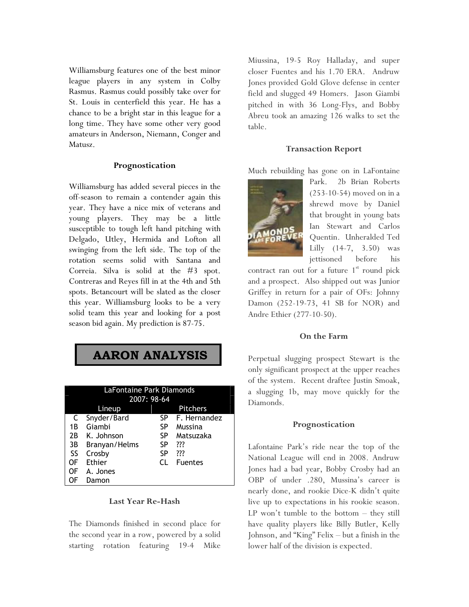Williamsburg features one of the best minor league players in any system in Colby Rasmus. Rasmus could possibly take over for St. Louis in centerfield this year. He has a chance to be a bright star in this league for a long time. They have some other very good amateurs in Anderson, Niemann, Conger and Matusz.

#### Prognostication

Williamsburg has added several pieces in the off-season to remain a contender again this year. They have a nice mix of veterans and young players. They may be a little susceptible to tough left hand pitching with Delgado, Utley, Hermida and Lofton all swinging from the left side. The top of the rotation seems solid with Santana and Correia. Silva is solid at the #3 spot. Contreras and Reyes fill in at the 4th and 5th spots. Betancourt will be slated as the closer this year. Williamsburg looks to be a very solid team this year and looking for a post season bid again. My prediction is 87-75.

# AARON ANALYSIS

| LaFontaine Park Diamonds<br>2007: 98-64 |                           |     |                |  |  |
|-----------------------------------------|---------------------------|-----|----------------|--|--|
|                                         | <b>Pitchers</b><br>Lineup |     |                |  |  |
| C                                       | Snyder/Bard               | SP  | F. Hernandez   |  |  |
| 1Β                                      | Giambi                    | SP  | Mussina        |  |  |
| 2B                                      | K. Johnson                | SP  | Matsuzaka      |  |  |
| 3B                                      | Branyan/Helms             | SP  | ???            |  |  |
| SS                                      | Crosby                    | SP  | ???            |  |  |
| OF                                      | <b>Ethier</b>             | CI. | <b>Fuentes</b> |  |  |
| 0F                                      | A. Jones                  |     |                |  |  |
|                                         | Damon                     |     |                |  |  |

#### Last Year Re-Hash

The Diamonds finished in second place for the second year in a row, powered by a solid starting rotation featuring 19-4 Mike

Miussina, 19-5 Roy Halladay, and super closer Fuentes and his 1.70 ERA. Andruw Jones provided Gold Glove defense in center field and slugged 49 Homers. Jason Giambi pitched in with 36 Long-Flys, and Bobby Abreu took an amazing 126 walks to set the table.

#### Transaction Report

Much rebuilding has gone on in LaFontaine



Park. 2b Brian Roberts (253-10-54) moved on in a shrewd move by Daniel that brought in young bats Ian Stewart and Carlos Quentin. Unheralded Ted Lilly (14-7, 3.50) was jettisoned before his

contract ran out for a future  $1<sup>st</sup>$  round pick and a prospect. Also shipped out was Junior Griffey in return for a pair of OFs: Johnny Damon (252-19-73, 41 SB for NOR) and Andre Ethier (277-10-50).

#### On the Farm

Perpetual slugging prospect Stewart is the only significant prospect at the upper reaches of the system. Recent draftee Justin Smoak, a slugging 1b, may move quickly for the Diamonds.

#### Prognostication

Lafontaine Park's ride near the top of the National League will end in 2008. Andruw Jones had a bad year, Bobby Crosby had an OBP of under .280, Mussina's career is nearly done, and rookie Dice-K didn't quite live up to expectations in his rookie season. LP won't tumble to the bottom – they still have quality players like Billy Butler, Kelly Johnson, and "King" Felix – but a finish in the lower half of the division is expected.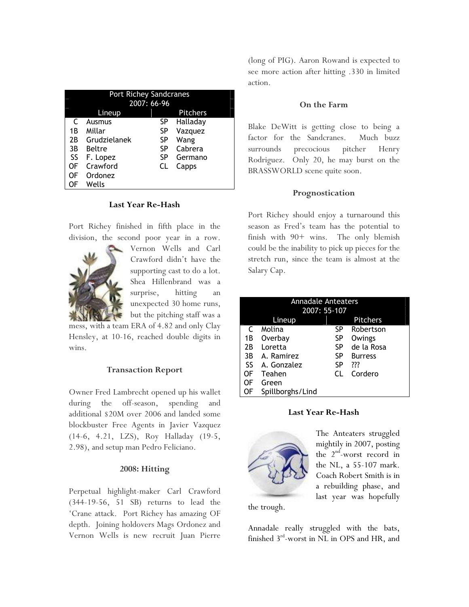| <b>Port Richey Sandcranes</b><br>2007: 66-96 |               |    |                 |
|----------------------------------------------|---------------|----|-----------------|
|                                              | Lineup        |    | <b>Pitchers</b> |
| C                                            | Ausmus        | SP | Halladay        |
| 1B                                           | Millar        | SP | Vazquez         |
| 2B                                           | Grudzielanek  | SP | Wang            |
| 3B                                           | <b>Beltre</b> | SP | Cabrera         |
| SS                                           | F. Lopez      | SP | Germano         |
| OF                                           | Crawford      | CL | Capps           |
| OF                                           | Ordonez       |    |                 |
|                                              | Wells         |    |                 |

## Last Year Re-Hash

Port Richey finished in fifth place in the division, the second poor year in a row.



Vernon Wells and Carl Crawford didn't have the supporting cast to do a lot. Shea Hillenbrand was a surprise, hitting an unexpected 30 home runs, but the pitching staff was a

mess, with a team ERA of 4.82 and only Clay Hensley, at 10-16, reached double digits in wins.

#### Transaction Report

Owner Fred Lambrecht opened up his wallet during the off-season, spending and additional \$20M over 2006 and landed some blockbuster Free Agents in Javier Vazquez (14-6, 4.21, LZS), Roy Halladay (19-5, 2.98), and setup man Pedro Feliciano.

#### 2008: Hitting

Perpetual highlight-maker Carl Crawford (344-19-56, 51 SB) returns to lead the 'Crane attack. Port Richey has amazing OF depth. Joining holdovers Mags Ordonez and Vernon Wells is new recruit Juan Pierre

(long of PIG). Aaron Rowand is expected to see more action after hitting .330 in limited action.

#### On the Farm

Blake DeWitt is getting close to being a factor for the Sandcranes. Much buzz surrounds precocious pitcher Henry Rodriguez. Only 20, he may burst on the BRASSWORLD scene quite soon.

#### Prognostication

Port Richey should enjoy a turnaround this season as Fred's team has the potential to finish with 90+ wins. The only blemish could be the inability to pick up pieces for the stretch run, since the team is almost at the Salary Cap.

| Annadale Anteaters<br>2007: 55-107 |                  |    |                 |  |
|------------------------------------|------------------|----|-----------------|--|
|                                    |                  |    |                 |  |
|                                    | Lineup           |    | <b>Pitchers</b> |  |
|                                    | Molina           | SP | Robertson       |  |
| 1B                                 | Overbay          | SP | Owings          |  |
| 2B                                 | Loretta          | SP | de la Rosa      |  |
| 3B                                 | A. Ramirez       | SP | <b>Burress</b>  |  |
| SS.                                | A. Gonzalez      | SP | ???             |  |
| OF                                 | Teahen           | CL | Cordero         |  |
| OF                                 | Green            |    |                 |  |
| 0F                                 | Spillborghs/Lind |    |                 |  |

#### Last Year Re-Hash



The Anteaters struggled mightily in 2007, posting the 2<sup>nd</sup>-worst record in the NL, a 55-107 mark. Coach Robert Smith is in a rebuilding phase, and last year was hopefully

the trough.

Annadale really struggled with the bats, finished 3<sup>rd</sup>-worst in NL in OPS and HR, and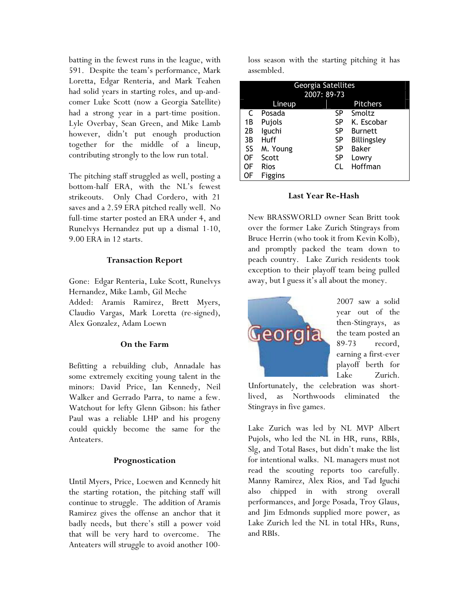batting in the fewest runs in the league, with 591. Despite the team's performance, Mark Loretta, Edgar Renteria, and Mark Teahen had solid years in starting roles, and up-andcomer Luke Scott (now a Georgia Satellite) had a strong year in a part-time position. Lyle Overbay, Sean Green, and Mike Lamb however, didn't put enough production together for the middle of a lineup, contributing strongly to the low run total.

The pitching staff struggled as well, posting a bottom-half ERA, with the NL's fewest strikeouts. Only Chad Cordero, with 21 saves and a 2.59 ERA pitched really well. No full-time starter posted an ERA under 4, and Runelvys Hernandez put up a dismal 1-10, 9.00 ERA in 12 starts.

# Transaction Report

Gone: Edgar Renteria, Luke Scott, Runelvys Hernandez, Mike Lamb, Gil Meche Added: Aramis Ramirez, Brett Myers, Claudio Vargas, Mark Loretta (re-signed), Alex Gonzalez, Adam Loewn

#### On the Farm

Befitting a rebuilding club, Annadale has some extremely exciting young talent in the minors: David Price, Ian Kennedy, Neil Walker and Gerrado Parra, to name a few. Watchout for lefty Glenn Gibson: his father Paul was a reliable LHP and his progeny could quickly become the same for the Anteaters.

#### Prognostication

Until Myers, Price, Loewen and Kennedy hit the starting rotation, the pitching staff will continue to struggle. The addition of Aramis Ramirez gives the offense an anchor that it badly needs, but there's still a power void that will be very hard to overcome. The Anteaters will struggle to avoid another 100loss season with the starting pitching it has assembled.

| Georgia Satellites |             |             |                 |
|--------------------|-------------|-------------|-----------------|
|                    |             | 2007: 89-73 |                 |
|                    | Lineup      |             | <b>Pitchers</b> |
| C                  | Posada      | SP          | Smoltz          |
| 1B                 | Pujols      | SP          | K. Escobar      |
| 2B                 | lguchi      | SP          | <b>Burnett</b>  |
| 3B                 | Huff        | SP          | Billingsley     |
| SS                 | M. Young    | SP          | <b>Baker</b>    |
| OF                 | Scott       | SP          | Lowry           |
| OF                 | <b>Rios</b> | CL          | Hoffman         |
| OF                 | Figgins     |             |                 |

# Last Year Re-Hash

New BRASSWORLD owner Sean Britt took over the former Lake Zurich Stingrays from Bruce Herrin (who took it from Kevin Kolb), and promptly packed the team down to peach country. Lake Zurich residents took exception to their playoff team being pulled away, but I guess it's all about the money.



2007 saw a solid year out of the then-Stingrays, as the team posted an 89-73 record, earning a first-ever playoff berth for Lake Zurich.

Unfortunately, the celebration was shortlived, as Northwoods eliminated the Stingrays in five games.

Lake Zurich was led by NL MVP Albert Pujols, who led the NL in HR, runs, RBIs, Slg, and Total Bases, but didn't make the list for intentional walks. NL managers must not read the scouting reports too carefully. Manny Ramirez, Alex Rios, and Tad Iguchi also chipped in with strong overall performances, and Jorge Posada, Troy Glaus, and Jim Edmonds supplied more power, as Lake Zurich led the NL in total HRs, Runs, and RBIs.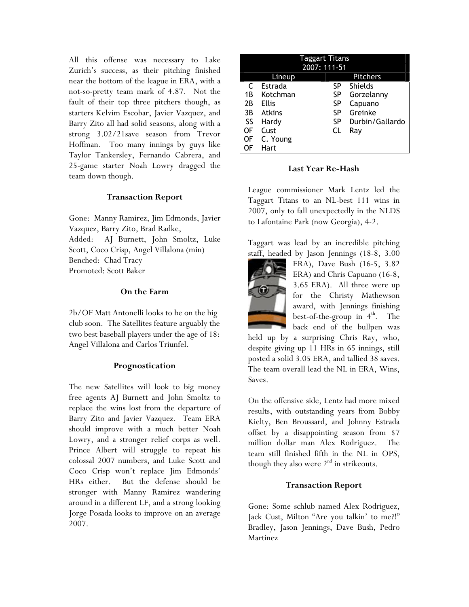All this offense was necessary to Lake Zurich's success, as their pitching finished near the bottom of the league in ERA, with a not-so-pretty team mark of 4.87. Not the fault of their top three pitchers though, as starters Kelvim Escobar, Javier Vazquez, and Barry Zito all had solid seasons, along with a strong 3.02/21save season from Trevor Hoffman. Too many innings by guys like Taylor Tankersley, Fernando Cabrera, and 25-game starter Noah Lowry dragged the team down though.

# Transaction Report

Gone: Manny Ramirez, Jim Edmonds, Javier Vazquez, Barry Zito, Brad Radke, Added: AJ Burnett, John Smoltz, Luke Scott, Coco Crisp, Angel Villalona (min) Benched: Chad Tracy Promoted: Scott Baker

# On the Farm

2b/OF Matt Antonelli looks to be on the big club soon. The Satellites feature arguably the two best baseball players under the age of 18: Angel Villalona and Carlos Triunfel.

# Prognostication

The new Satellites will look to big money free agents AJ Burnett and John Smoltz to replace the wins lost from the departure of Barry Zito and Javier Vazquez. Team ERA should improve with a much better Noah Lowry, and a stronger relief corps as well. Prince Albert will struggle to repeat his colossal 2007 numbers, and Luke Scott and Coco Crisp won't replace Jim Edmonds' HRs either. But the defense should be stronger with Manny Ramirez wandering around in a different LF, and a strong looking Jorge Posada looks to improve on an average 2007.

|    | Taggart Titans |              |                 |  |
|----|----------------|--------------|-----------------|--|
|    |                | 2007: 111-51 |                 |  |
|    | Lineup         |              | <b>Pitchers</b> |  |
| C  | Estrada        | SP           | <b>Shields</b>  |  |
| 1B | Kotchman       | SP           | Gorzelanny      |  |
| 2B | <b>Ellis</b>   | SP           | Capuano         |  |
| 3B | <b>Atkins</b>  | SP           | Greinke         |  |
| SS | Hardy          | <b>SP</b>    | Durbin/Gallardo |  |
| OF | Cust           | CL           | Ray             |  |
| ΟF | C. Young       |              |                 |  |
| DF | Hart           |              |                 |  |

Last Year Re-Hash

League commissioner Mark Lentz led the Taggart Titans to an NL-best 111 wins in 2007, only to fall unexpectedly in the NLDS to Lafontaine Park (now Georgia), 4-2.

Taggart was lead by an incredible pitching staff, headed by Jason Jennings (18-8, 3.00



ERA), Dave Bush (16-5, 3.82 ERA) and Chris Capuano (16-8, 3.65 ERA). All three were up for the Christy Mathewson award, with Jennings finishing best-of-the-group in  $4<sup>th</sup>$ . The back end of the bullpen was

held up by a surprising Chris Ray, who, despite giving up 11 HRs in 65 innings, still posted a solid 3.05 ERA, and tallied 38 saves. The team overall lead the NL in ERA, Wins, Saves.

On the offensive side, Lentz had more mixed results, with outstanding years from Bobby Kielty, Ben Broussard, and Johnny Estrada offset by a disappointing season from \$7 million dollar man Alex Rodriguez. The team still finished fifth in the NL in OPS, though they also were  $2<sup>nd</sup>$  in strikeouts.

# Transaction Report

Gone: Some schlub named Alex Rodriguez, Jack Cust, Milton "Are you talkin' to me?!" Bradley, Jason Jennings, Dave Bush, Pedro Martinez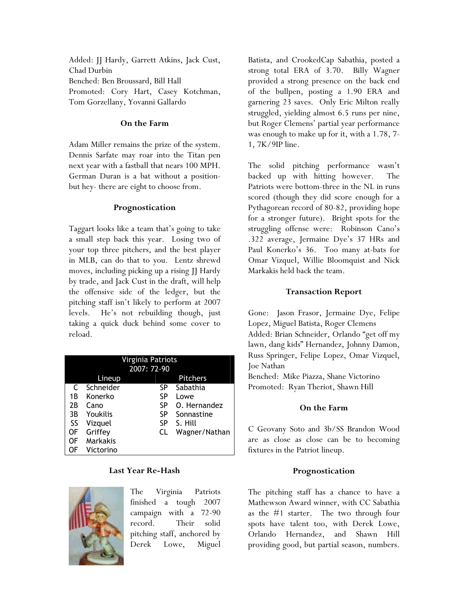Added: JJ Hardy, Garrett Atkins, Jack Cust, Chad Durbin Benched: Ben Broussard, Bill Hall Promoted: Cory Hart, Casey Kotchman, Tom Gorzellany, Yovanni Gallardo

# On the Farm

Adam Miller remains the prize of the system. Dennis Sarfate may roar into the Titan pen next year with a fastball that nears 100 MPH. German Duran is a bat without a positionbut hey- there are eight to choose from.

# Prognostication

Taggart looks like a team that's going to take a small step back this year. Losing two of your top three pitchers, and the best player in MLB, can do that to you. Lentz shrewd moves, including picking up a rising JJ Hardy by trade, and Jack Cust in the draft, will help the offensive side of the ledger, but the pitching staff isn't likely to perform at 2007 levels. He's not rebuilding though, just taking a quick duck behind some cover to reload.

|    | Virginia Patriots |             |                 |  |
|----|-------------------|-------------|-----------------|--|
|    |                   | 2007: 72-90 |                 |  |
|    | Lineup            |             | <b>Pitchers</b> |  |
| C  | Schneider         | SP          | Sabathia        |  |
| 1B | Konerko           | SP          | Lowe            |  |
| 2B | Cano              | <b>SP</b>   | O. Hernandez    |  |
| 3B | Youkilis          | SP          | Sonnastine      |  |
| SS | Vizquel           | <b>SP</b>   | S. Hill         |  |
| 0F | Griffey           | CL          | Wagner/Nathan   |  |
| 0F | <b>Markakis</b>   |             |                 |  |
| ОF | Victorino         |             |                 |  |

# Last Year Re-Hash



The Virginia Patriots finished a tough 2007 campaign with a 72-90 record. Their solid pitching staff, anchored by Derek Lowe, Miguel Batista, and CrookedCap Sabathia, posted a strong total ERA of 3.70. Billy Wagner provided a strong presence on the back end of the bullpen, posting a 1.90 ERA and garnering 23 saves. Only Eric Milton really struggled, yielding almost 6.5 runs per nine, but Roger Clemens' partial year performance was enough to make up for it, with a 1.78, 7- 1, 7K/9IP line.

The solid pitching performance wasn't backed up with hitting however. The Patriots were bottom-three in the NL in runs scored (though they did score enough for a Pythagorean record of 80-82, providing hope for a stronger future). Bright spots for the struggling offense were: Robinson Cano's .322 average, Jermaine Dye's 37 HRs and Paul Konerko's 36. Too many at-bats for Omar Vizquel, Willie Bloomquist and Nick Markakis held back the team.

# Transaction Report

Gone: Jason Frasor, Jermaine Dye, Felipe Lopez, Miguel Batista, Roger Clemens Added: Brian Schneider, Orlando "get off my lawn, dang kids" Hernandez, Johnny Damon, Russ Springer, Felipe Lopez, Omar Vizquel, Joe Nathan

Benched: Mike Piazza, Shane Victorino Promoted: Ryan Theriot, Shawn Hill

#### On the Farm

C Geovany Soto and 3b/SS Brandon Wood are as close as close can be to becoming fixtures in the Patriot lineup.

# Prognostication

The pitching staff has a chance to have a Mathewson Award winner, with CC Sabathia as the #1 starter. The two through four spots have talent too, with Derek Lowe, Orlando Hernandez, and Shawn Hill providing good, but partial season, numbers.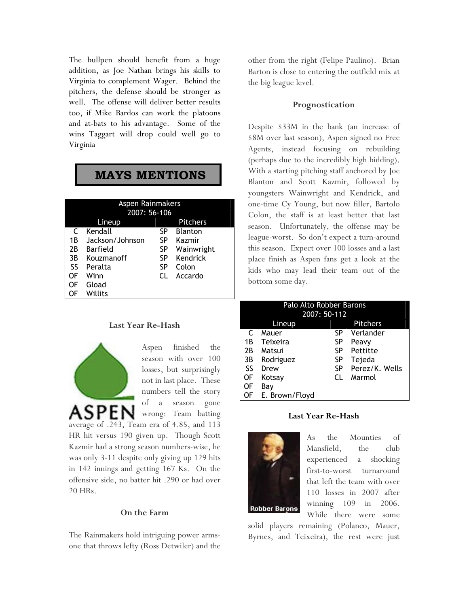The bullpen should benefit from a huge addition, as Joe Nathan brings his skills to Virginia to complement Wager. Behind the pitchers, the defense should be stronger as well. The offense will deliver better results too, if Mike Bardos can work the platoons and at-bats to his advantage. Some of the wins Taggart will drop could well go to Virginia

# MAYS MENTIONS

| Aspen Rainmakers<br>2007: 56-106 |                 |           |                 |  |
|----------------------------------|-----------------|-----------|-----------------|--|
|                                  | Lineup          |           | <b>Pitchers</b> |  |
| C                                | Kendall         | SP        | <b>Blanton</b>  |  |
| 1Β                               | Jackson/Johnson | SP        | Kazmir          |  |
| 2В                               | Barfield        | <b>SP</b> | Wainwright      |  |
| 3B                               | Kouzmanoff      | SP        | Kendrick        |  |
| SS                               | Peralta         | SP        | Colon           |  |
| OF                               | Winn            | CL.       | Accardo         |  |
| OF                               | Gload           |           |                 |  |
|                                  | Willits         |           |                 |  |

#### Last Year Re-Hash

ASPEN

Aspen finished the season with over 100 losses, but surprisingly not in last place. These numbers tell the story of a season gone wrong: Team batting

average of .243, Team era of 4.85, and 113 HR hit versus 190 given up. Though Scott Kazmir had a strong season numbers-wise, he was only 3-11 despite only giving up 129 hits in 142 innings and getting 167 Ks. On the offensive side, no batter hit .290 or had over 20 HRs.

#### On the Farm

The Rainmakers hold intriguing power armsone that throws lefty (Ross Detwiler) and the other from the right (Felipe Paulino). Brian Barton is close to entering the outfield mix at the big league level.

#### Prognostication

Despite \$33M in the bank (an increase of \$8M over last season), Aspen signed no Free Agents, instead focusing on rebuilding (perhaps due to the incredibly high bidding). With a starting pitching staff anchored by Joe Blanton and Scott Kazmir, followed by youngsters Wainwright and Kendrick, and one-time Cy Young, but now filler, Bartolo Colon, the staff is at least better that last season. Unfortunately, the offense may be league-worst. So don't expect a turn-around this season. Expect over 100 losses and a last place finish as Aspen fans get a look at the kids who may lead their team out of the bottom some day.

| Palo Alto Robber Barons |                |    |                 |  |  |
|-------------------------|----------------|----|-----------------|--|--|
|                         | 2007: 50-112   |    |                 |  |  |
|                         | Lineup         |    | <b>Pitchers</b> |  |  |
| C                       | Mauer          | SP | Verlander       |  |  |
| 1Β                      | Teixeira       | SP | Peavy           |  |  |
| 2B                      | Matsui         | SP | Pettitte        |  |  |
| 3B                      | Rodriguez      | SP | Tejeda          |  |  |
| SS                      | Drew           | SP | Perez/K. Wells  |  |  |
| OF                      | Kotsav         | CL | Marmol          |  |  |
| 0F                      | Bay            |    |                 |  |  |
| OF                      | E. Brown/Floyd |    |                 |  |  |

#### Last Year Re-Hash



As the Mounties of Mansfield, the club experienced a shocking first-to-worst turnaround that left the team with over 110 losses in 2007 after winning 109 in 2006. While there were some

solid players remaining (Polanco, Mauer, Byrnes, and Teixeira), the rest were just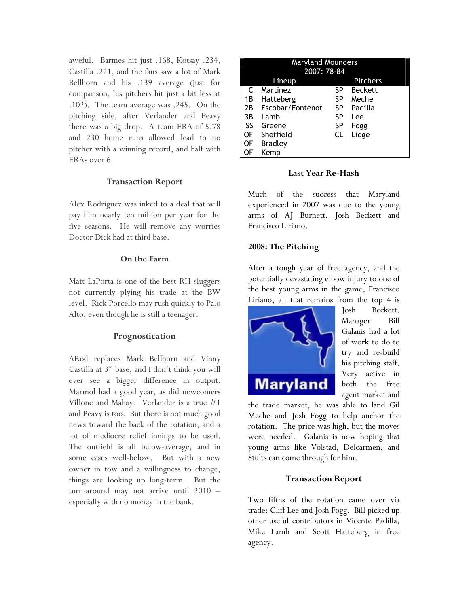aweful. Barmes hit just .168, Kotsay .234, Castilla .221, and the fans saw a lot of Mark Bellhorn and his .139 average (just for comparison, his pitchers hit just a bit less at .102). The team average was .245. On the pitching side, after Verlander and Peavy there was a big drop. A team ERA of 5.78 and 230 home runs allowed lead to no pitcher with a winning record, and half with ERAs over 6.

# Transaction Report

Alex Rodriguez was inked to a deal that will pay him nearly ten million per year for the five seasons. He will remove any worries Doctor Dick had at third base.

# On the Farm

Matt LaPorta is one of the best RH sluggers not currently plying his trade at the BW level. Rick Porcello may rush quickly to Palo Alto, even though he is still a teenager.

# Prognostication

ARod replaces Mark Bellhorn and Vinny Castilla at 3<sup>rd</sup> base, and I don't think you will ever see a bigger difference in output. Marmol had a good year, as did newcomers Villone and Mahay. Verlander is a true #1 and Peavy is too. But there is not much good news toward the back of the rotation, and a lot of mediocre relief innings to be used. The outfield is all below-average, and in some cases well-below. But with a new owner in tow and a willingness to change, things are looking up long-term. But the turn-around may not arrive until 2010 – especially with no money in the bank.

|    | <b>Maryland Mounders</b><br>2007: 78-84 |    |                |  |  |
|----|-----------------------------------------|----|----------------|--|--|
|    | <b>Pitchers</b><br>Lineup               |    |                |  |  |
| C  | Martinez                                | SP | <b>Beckett</b> |  |  |
| 1В | Hatteberg                               | SP | Meche          |  |  |
| 2B | Escobar/Fontenot                        | SP | Padilla        |  |  |
| 3B | Lamb                                    | SP | Lee            |  |  |
| SS | Greene                                  | SP | Fogg           |  |  |
| OF | Sheffield                               | CL | Lidge          |  |  |
| OF | <b>Bradley</b>                          |    |                |  |  |
| OF | Kemp                                    |    |                |  |  |

# Last Year Re-Hash

Much of the success that Maryland experienced in 2007 was due to the young arms of AJ Burnett, Josh Beckett and Francisco Liriano.

# 2008: The Pitching

After a tough year of free agency, and the potentially devastating elbow injury to one of the best young arms in the game, Francisco Liriano, all that remains from the top 4 is



Josh Beckett. Manager Bill Galanis had a lot of work to do to try and re-build his pitching staff. Very active in both the free agent market and

the trade market, he was able to land Gil Meche and Josh Fogg to help anchor the rotation. The price was high, but the moves were needed. Galanis is now hoping that young arms like Volstad, Delcarmen, and Stults can come through for him.

# Transaction Report

Two fifths of the rotation came over via trade: Cliff Lee and Josh Fogg. Bill picked up other useful contributors in Vicente Padilla, Mike Lamb and Scott Hatteberg in free agency.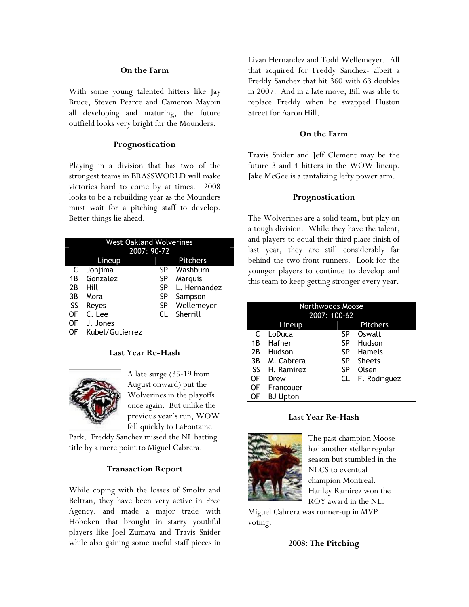#### On the Farm

With some young talented hitters like Jay Bruce, Steven Pearce and Cameron Maybin all developing and maturing, the future outfield looks very bright for the Mounders.

# Prognostication

Playing in a division that has two of the strongest teams in BRASSWORLD will make victories hard to come by at times. 2008 looks to be a rebuilding year as the Mounders must wait for a pitching staff to develop. Better things lie ahead.

|           | <b>West Oakland Wolverines</b><br>2007: 90-72 |           |                 |  |
|-----------|-----------------------------------------------|-----------|-----------------|--|
|           | Lineup                                        |           | <b>Pitchers</b> |  |
| C         | Johjima                                       | SP        | Washburn        |  |
| 1Β        | Gonzalez                                      | SP        | Marquis         |  |
| 2B        | Hill                                          | SP        | L. Hernandez    |  |
| 3B        | Mora                                          | SP        | Sampson         |  |
| <b>SS</b> | Reyes                                         | <b>SP</b> | Wellemeyer      |  |
| OF        | C. Lee                                        | CL        | Sherrill        |  |
| 0F        | J. Jones                                      |           |                 |  |
| 0F        | Kubel/Gutierrez                               |           |                 |  |

#### Last Year Re-Hash



A late surge (35-19 from August onward) put the Wolverines in the playoffs once again. But unlike the previous year's run, WOW fell quickly to LaFontaine

Park. Freddy Sanchez missed the NL batting title by a mere point to Miguel Cabrera.

# Transaction Report

While coping with the losses of Smoltz and Beltran, they have been very active in Free Agency, and made a major trade with Hoboken that brought in starry youthful players like Joel Zumaya and Travis Snider while also gaining some useful staff pieces in

Livan Hernandez and Todd Wellemeyer. All that acquired for Freddy Sanchez- albeit a Freddy Sanchez that hit 360 with 63 doubles in 2007. And in a late move, Bill was able to replace Freddy when he swapped Huston Street for Aaron Hill.

# On the Farm

Travis Snider and Jeff Clement may be the future 3 and 4 hitters in the WOW lineup. Jake McGee is a tantalizing lefty power arm.

# Prognostication

The Wolverines are a solid team, but play on a tough division. While they have the talent, and players to equal their third place finish of last year, they are still considerably far behind the two front runners. Look for the younger players to continue to develop and this team to keep getting stronger every year.

| <b>Northwoods Moose</b><br>2007: 100-62 |                           |    |               |  |  |
|-----------------------------------------|---------------------------|----|---------------|--|--|
|                                         | <b>Pitchers</b><br>Lineup |    |               |  |  |
| C                                       | LoDuca                    | SP | Oswalt        |  |  |
| 1B                                      | Hafner                    | SP | Hudson        |  |  |
| 2B                                      | Hudson                    | SP | <b>Hamels</b> |  |  |
| 3B                                      | M. Cabrera                | SP | <b>Sheets</b> |  |  |
| SS                                      | H. Ramirez                | SP | Olsen         |  |  |
| OF                                      | Drew                      | CL | F. Rodriguez  |  |  |
| OF                                      | Francouer                 |    |               |  |  |
| OF                                      | <b>BJ Upton</b>           |    |               |  |  |

# Last Year Re-Hash



The past champion Moose had another stellar regular season but stumbled in the NLCS to eventual champion Montreal. Hanley Ramirez won the ROY award in the NL.

Miguel Cabrera was runner-up in MVP voting.

#### 2008: The Pitching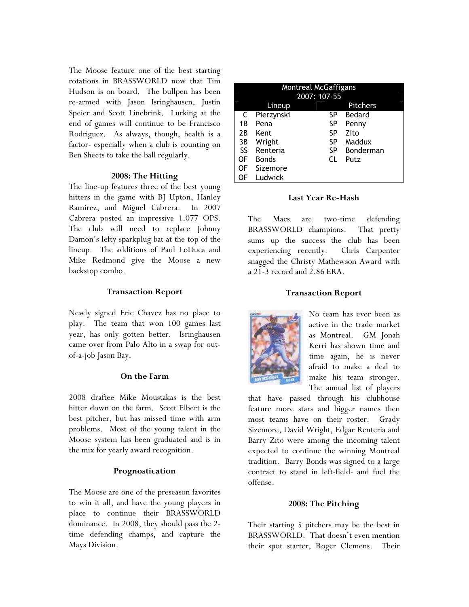The Moose feature one of the best starting rotations in BRASSWORLD now that Tim Hudson is on board. The bullpen has been re-armed with Jason Isringhausen, Justin Speier and Scott Linebrink. Lurking at the end of games will continue to be Francisco Rodriguez. As always, though, health is a factor- especially when a club is counting on Ben Sheets to take the ball regularly.

#### 2008: The Hitting

The line-up features three of the best young hitters in the game with BJ Upton, Hanley Ramirez, and Miguel Cabrera. In 2007 Cabrera posted an impressive 1.077 OPS. The club will need to replace Johnny Damon's lefty sparkplug bat at the top of the lineup. The additions of Paul LoDuca and Mike Redmond give the Moose a new backstop combo.

# Transaction Report

Newly signed Eric Chavez has no place to play. The team that won 100 games last year, has only gotten better. Isringhausen came over from Palo Alto in a swap for outof-a-job Jason Bay.

#### On the Farm

2008 draftee Mike Moustakas is the best hitter down on the farm. Scott Elbert is the best pitcher, but has missed time with arm problems. Most of the young talent in the Moose system has been graduated and is in the mix for yearly award recognition.

# Prognostication

The Moose are one of the preseason favorites to win it all, and have the young players in place to continue their BRASSWORLD dominance. In 2008, they should pass the 2 time defending champs, and capture the Mays Division.

| Montreal McGaffigans |              |           |                 |
|----------------------|--------------|-----------|-----------------|
| 2007: 107-55         |              |           |                 |
|                      | Lineup       |           | <b>Pitchers</b> |
| C                    | Pierzynski   | SP        | Bedard          |
| 1Β                   | Pena         | <b>SP</b> | Penny           |
| 2B                   | Kent         | SP        | Zito            |
| 3B                   | Wright       | <b>SP</b> | Maddux          |
| <b>SS</b>            | Renteria     | <b>SP</b> | Bonderman       |
| OF                   | <b>Bonds</b> | CL.       | Putz            |
| OF                   | Sizemore     |           |                 |
| OF                   | Ludwick      |           |                 |
|                      |              |           |                 |

# Last Year Re-Hash

The Macs are two-time defending BRASSWORLD champions. That pretty sums up the success the club has been experiencing recently. Chris Carpenter snagged the Christy Mathewson Award with a 21-3 record and 2.86 ERA.

# Transaction Report



No team has ever been as active in the trade market as Montreal. GM Jonah Kerri has shown time and time again, he is never afraid to make a deal to make his team stronger. The annual list of players

that have passed through his clubhouse feature more stars and bigger names then most teams have on their roster. Grady Sizemore, David Wright, Edgar Renteria and Barry Zito were among the incoming talent expected to continue the winning Montreal tradition. Barry Bonds was signed to a large contract to stand in left-field- and fuel the offense.

# 2008: The Pitching

Their starting 5 pitchers may be the best in BRASSWORLD. That doesn't even mention their spot starter, Roger Clemens. Their